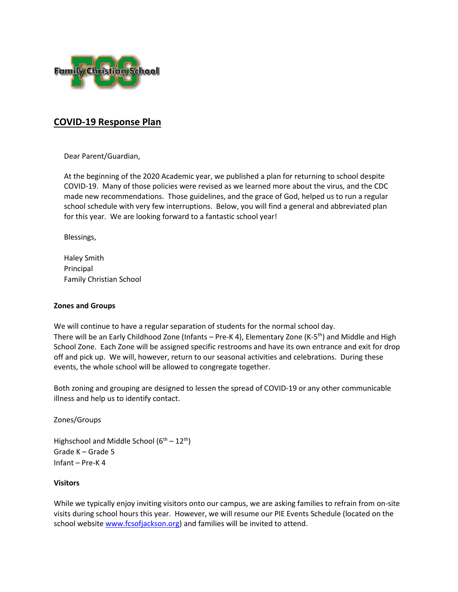

# **COVID-19 Response Plan**

Dear Parent/Guardian,

At the beginning of the 2020 Academic year, we published a plan for returning to school despite COVID-19. Many of those policies were revised as we learned more about the virus, and the CDC made new recommendations. Those guidelines, and the grace of God, helped us to run a regular school schedule with very few interruptions. Below, you will find a general and abbreviated plan for this year. We are looking forward to a fantastic school year!

Blessings,

Haley Smith Principal Family Christian School

#### **Zones and Groups**

We will continue to have a regular separation of students for the normal school day. There will be an Early Childhood Zone (Infants – Pre-K 4), Elementary Zone (K-5<sup>th</sup>) and Middle and High School Zone. Each Zone will be assigned specific restrooms and have its own entrance and exit for drop off and pick up. We will, however, return to our seasonal activities and celebrations. During these events, the whole school will be allowed to congregate together.

Both zoning and grouping are designed to lessen the spread of COVID-19 or any other communicable illness and help us to identify contact.

Zones/Groups

Highschool and Middle School  $(6^{th} – 12^{th})$ Grade K – Grade 5 Infant – Pre-K 4

#### **Visitors**

While we typically enjoy inviting visitors onto our campus, we are asking families to refrain from on-site visits during school hours this year. However, we will resume our PIE Events Schedule (located on the school website [www.fcsofjackson.org\)](http://www.fcsofjackson.org/) and families will be invited to attend.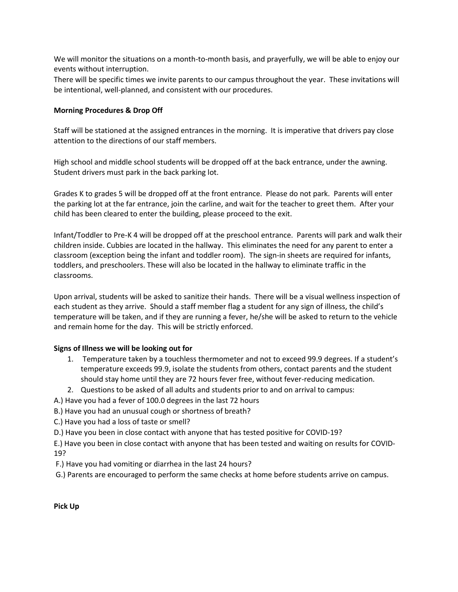We will monitor the situations on a month-to-month basis, and prayerfully, we will be able to enjoy our events without interruption.

There will be specific times we invite parents to our campus throughout the year. These invitations will be intentional, well-planned, and consistent with our procedures.

## **Morning Procedures & Drop Off**

Staff will be stationed at the assigned entrances in the morning. It is imperative that drivers pay close attention to the directions of our staff members.

High school and middle school students will be dropped off at the back entrance, under the awning. Student drivers must park in the back parking lot.

Grades K to grades 5 will be dropped off at the front entrance. Please do not park. Parents will enter the parking lot at the far entrance, join the carline, and wait for the teacher to greet them. After your child has been cleared to enter the building, please proceed to the exit.

Infant/Toddler to Pre-K 4 will be dropped off at the preschool entrance. Parents will park and walk their children inside. Cubbies are located in the hallway. This eliminates the need for any parent to enter a classroom (exception being the infant and toddler room). The sign-in sheets are required for infants, toddlers, and preschoolers. These will also be located in the hallway to eliminate traffic in the classrooms.

Upon arrival, students will be asked to sanitize their hands. There will be a visual wellness inspection of each student as they arrive. Should a staff member flag a student for any sign of illness, the child's temperature will be taken, and if they are running a fever, he/she will be asked to return to the vehicle and remain home for the day. This will be strictly enforced.

## **Signs of Illness we will be looking out for**

- 1. Temperature taken by a touchless thermometer and not to exceed 99.9 degrees. If a student's temperature exceeds 99.9, isolate the students from others, contact parents and the student should stay home until they are 72 hours fever free, without fever-reducing medication.
- 2. Questions to be asked of all adults and students prior to and on arrival to campus:
- A.) Have you had a fever of 100.0 degrees in the last 72 hours
- B.) Have you had an unusual cough or shortness of breath?
- C.) Have you had a loss of taste or smell?
- D.) Have you been in close contact with anyone that has tested positive for COVID-19?

E.) Have you been in close contact with anyone that has been tested and waiting on results for COVID-19?

- F.) Have you had vomiting or diarrhea in the last 24 hours?
- G.) Parents are encouraged to perform the same checks at home before students arrive on campus.

**Pick Up**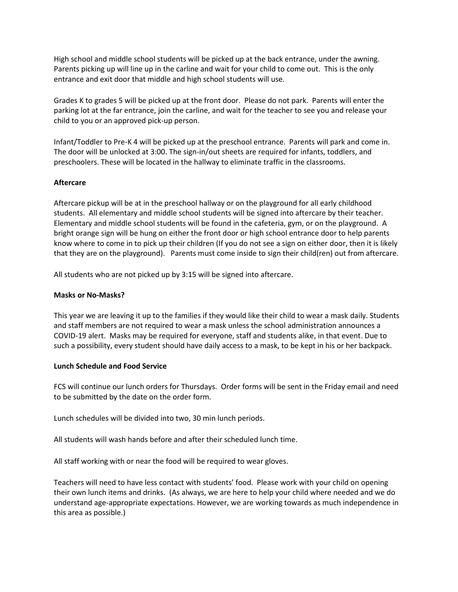High school and middle school students will be picked up at the back entrance, under the awning. Parents picking up will line up in the carline and wait for your child to come out. This is the only entrance and exit door that middle and high school students will use.

Grades K to grades 5 will be picked up at the front door. Please do not park. Parents will enter the parking lot at the far entrance, join the carline, and wait for the teacher to see you and release your child to you or an approved pick-up person.

Infant/Toddler to Pre-K 4 will be picked up at the preschool entrance. Parents will park and come in. The door will be unlocked at 3:00. The sign-in/out sheets are required for infants, toddlers, and preschoolers. These will be located in the hallway to eliminate traffic in the classrooms.

#### **Aftercare**

Aftercare pickup will be at in the preschool hallway or on the playground for all early childhood students. All elementary and middle school students will be signed into aftercare by their teacher. Elementary and middle school students will be found in the cafeteria, gym, or on the playground. A bright orange sign will be hung on either the front door or high school entrance door to help parents know where to come in to pick up their children (If you do not see a sign on either door, then it is likely that they are on the playground). Parents must come inside to sign their child(ren) out from aftercare.

All students who are not picked up by 3:15 will be signed into aftercare.

#### **Masks or No-Masks?**

This year we are leaving it up to the families if they would like their child to wear a mask daily. Students and staff members are not required to wear a mask unless the school administration announces a COVID-19 alert. Masks may be required for everyone, staff and students alike, in that event. Due to such a possibility, every student should have daily access to a mask, to be kept in his or her backpack.

#### **Lunch Schedule and Food Service**

FCS will continue our lunch orders for Thursdays. Order forms will be sent in the Friday email and need to be submitted by the date on the order form.

Lunch schedules will be divided into two, 30 min lunch periods.

All students will wash hands before and after their scheduled lunch time.

All staff working with or near the food will be required to wear gloves.

Teachers will need to have less contact with students' food. Please work with your child on opening their own lunch items and drinks. (As always, we are here to help your child where needed and we do understand age-appropriate expectations. However, we are working towards as much independence in this area as possible.)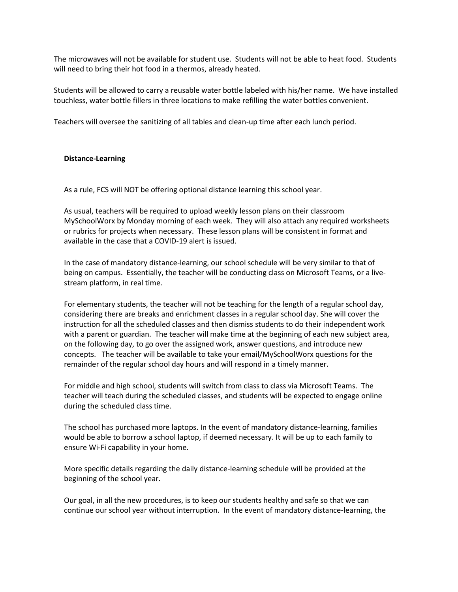The microwaves will not be available for student use. Students will not be able to heat food. Students will need to bring their hot food in a thermos, already heated.

Students will be allowed to carry a reusable water bottle labeled with his/her name. We have installed touchless, water bottle fillers in three locations to make refilling the water bottles convenient.

Teachers will oversee the sanitizing of all tables and clean-up time after each lunch period.

#### **Distance-Learning**

As a rule, FCS will NOT be offering optional distance learning this school year.

As usual, teachers will be required to upload weekly lesson plans on their classroom MySchoolWorx by Monday morning of each week. They will also attach any required worksheets or rubrics for projects when necessary. These lesson plans will be consistent in format and available in the case that a COVID-19 alert is issued.

In the case of mandatory distance-learning, our school schedule will be very similar to that of being on campus. Essentially, the teacher will be conducting class on Microsoft Teams, or a livestream platform, in real time.

For elementary students, the teacher will not be teaching for the length of a regular school day, considering there are breaks and enrichment classes in a regular school day. She will cover the instruction for all the scheduled classes and then dismiss students to do their independent work with a parent or guardian. The teacher will make time at the beginning of each new subject area, on the following day, to go over the assigned work, answer questions, and introduce new concepts. The teacher will be available to take your email/MySchoolWorx questions for the remainder of the regular school day hours and will respond in a timely manner.

For middle and high school, students will switch from class to class via Microsoft Teams. The teacher will teach during the scheduled classes, and students will be expected to engage online during the scheduled class time.

The school has purchased more laptops. In the event of mandatory distance-learning, families would be able to borrow a school laptop, if deemed necessary. It will be up to each family to ensure Wi-Fi capability in your home.

More specific details regarding the daily distance-learning schedule will be provided at the beginning of the school year.

Our goal, in all the new procedures, is to keep our students healthy and safe so that we can continue our school year without interruption. In the event of mandatory distance-learning, the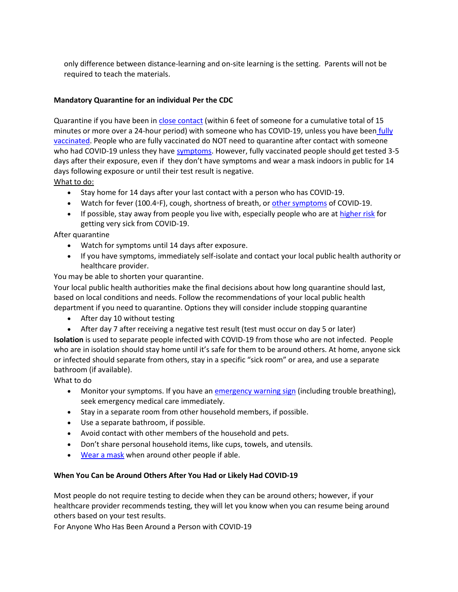only difference between distance-learning and on-site learning is the setting. Parents will not be required to teach the materials.

# **Mandatory Quarantine for an individual Per the CDC**

Quarantine if you have been in [close contact](https://www.cdc.gov/coronavirus/2019-ncov/php/contact-tracing/contact-tracing-plan/appendix.html#contact) (within 6 feet of someone for a cumulative total of 15 minutes or more over a 24-hour period) with someone who has COVID-19, unless you have been fully [vaccinated.](https://www.cdc.gov/coronavirus/2019-ncov/vaccines/fully-vaccinated.html) People who are fully vaccinated do NOT need to quarantine after contact with someone who had COVID-19 unless they have [symptoms.](https://www.cdc.gov/coronavirus/2019-ncov/symptoms-testing/symptoms.html) However, fully vaccinated people should get tested 3-5 days after their exposure, even if they don't have symptoms and wear a mask indoors in public for 14 days following exposure or until their test result is negative.

What to do:

- Stay home for 14 days after your last contact with a person who has COVID-19.
- Watch for fever (100.4◦F), cough, shortness of breath, or [other symptoms](https://www.cdc.gov/coronavirus/2019-ncov/symptoms-testing/symptoms.html) of COVID-19.
- If possible, stay away from people you live with, especially people who are at [higher risk](https://www.cdc.gov/coronavirus/2019-ncov/need-extra-precautions/people-at-higher-risk.html) for getting very sick from COVID-19.

After quarantine

- Watch for symptoms until 14 days after exposure.
- If you have symptoms, immediately self-isolate and contact your local public health authority or healthcare provider.

You may be able to shorten your quarantine.

Your local public health authorities make the final decisions about how long quarantine should last, based on local conditions and needs. Follow the recommendations of your local public health department if you need to quarantine. Options they will consider include stopping quarantine

- After day 10 without testing
- After day 7 after receiving a negative test result (test must occur on day 5 or later)

**Isolation** is used to separate people infected with COVID-19 from those who are not infected. People who are in isolation should stay home until it's safe for them to be around others. At home, anyone sick or infected should separate from others, stay in a specific "sick room" or area, and use a separate bathroom (if available).

What to do

- Monitor your symptoms. If you have an [emergency warning sign](https://www.cdc.gov/coronavirus/2019-ncov/symptoms-testing/symptoms.html) (including trouble breathing), seek emergency medical care immediately.
- Stay in a separate room from other household members, if possible.
- Use a separate bathroom, if possible.
- Avoid contact with other members of the household and pets.
- Don't share personal household items, like cups, towels, and utensils.
- [Wear a mask](https://www.cdc.gov/coronavirus/2019-ncov/prevent-getting-sick/about-face-coverings.html) when around other people if able.

## **When You Can be Around Others After You Had or Likely Had COVID-19**

Most people do not require testing to decide when they can be around others; however, if your healthcare provider recommends testing, they will let you know when you can resume being around others based on your test results.

For Anyone Who Has Been Around a Person with COVID-19